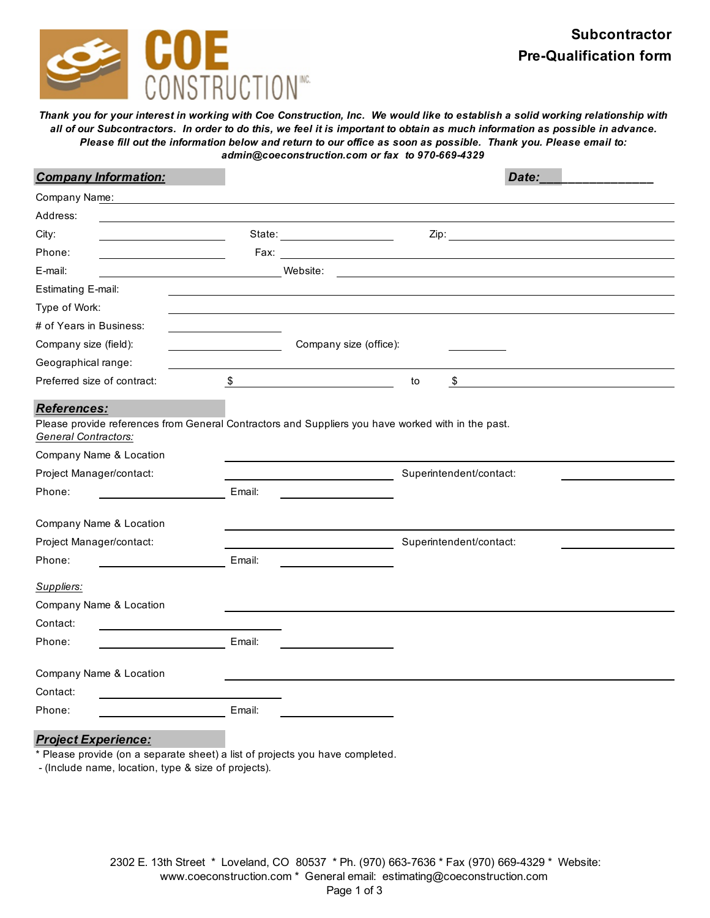

*Thank you for your interest in working with Coe Construction, Inc. We would like to establish a solid working relationship with all of our Subcontractors. In order to do this, we feel it is important to obtain as much information as possible in advance. Please fill out the information below and return to our office as soon as possible. Thank you. Please email to: admin@coeconstruction.com or fax to 970-669-4329*

| <b>Company Information:</b>                |        | Date:                                                                                              |
|--------------------------------------------|--------|----------------------------------------------------------------------------------------------------|
| Company Name:                              |        |                                                                                                    |
| Address:                                   |        |                                                                                                    |
| City:                                      |        | State: <u>_____________________</u><br>Zip: <u>Alexander State Communication</u>                   |
| Phone:                                     |        |                                                                                                    |
| E-mail:                                    |        | Website:                                                                                           |
| <b>Estimating E-mail:</b>                  |        |                                                                                                    |
| Type of Work:                              |        |                                                                                                    |
| # of Years in Business:                    |        |                                                                                                    |
| Company size (field):                      |        | Company size (office):                                                                             |
| Geographical range:                        |        |                                                                                                    |
| Preferred size of contract:                | \$     | \$<br>to                                                                                           |
| References:<br><b>General Contractors:</b> |        | Please provide references from General Contractors and Suppliers you have worked with in the past. |
| Company Name & Location                    |        |                                                                                                    |
| Project Manager/contact:                   |        | Superintendent/contact:                                                                            |
| Phone:                                     | Email: |                                                                                                    |
| Company Name & Location                    |        |                                                                                                    |
| Project Manager/contact:                   |        | Superintendent/contact:                                                                            |
| Phone:                                     | Email: |                                                                                                    |
| Suppliers:                                 |        |                                                                                                    |
| Company Name & Location                    |        |                                                                                                    |
| Contact:                                   |        |                                                                                                    |
| Phone:                                     | Email: |                                                                                                    |
| Company Name & Location                    |        |                                                                                                    |
| Contact:                                   |        |                                                                                                    |
| Phone:                                     | Email: |                                                                                                    |

## *Project Experience:*

\* Please provide (on a separate sheet) a list of projects you have completed.

- (Include name, location, type & size of projects).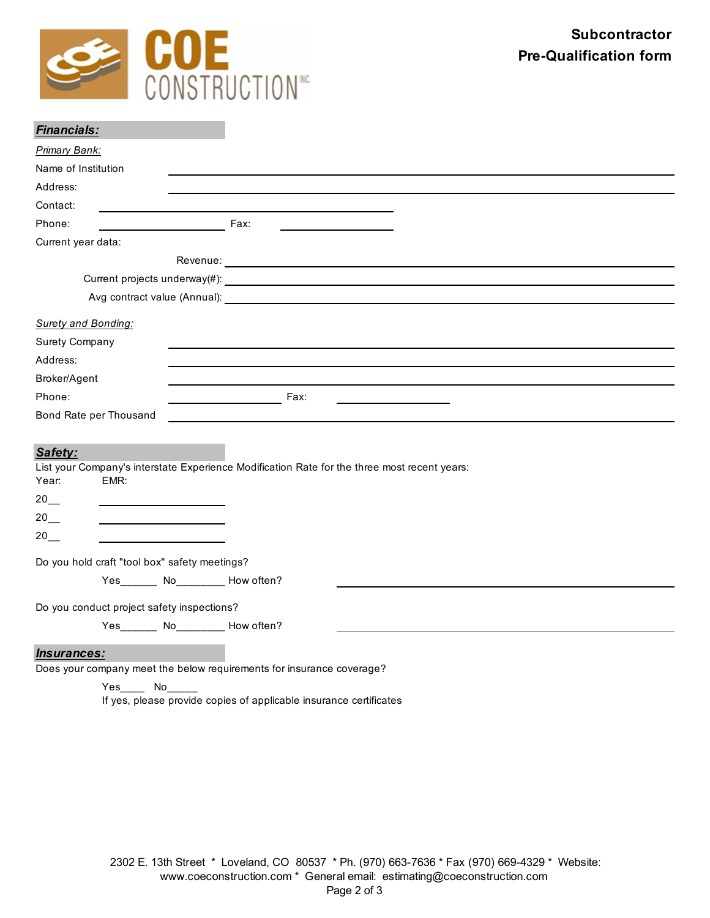

| <b>Financials:</b>                            |                                                                                              |
|-----------------------------------------------|----------------------------------------------------------------------------------------------|
| Primary Bank:                                 |                                                                                              |
| Name of Institution                           |                                                                                              |
| Address:                                      |                                                                                              |
| Contact:                                      |                                                                                              |
| Phone:                                        | Fax:                                                                                         |
| Current year data:                            |                                                                                              |
|                                               |                                                                                              |
|                                               |                                                                                              |
|                                               |                                                                                              |
| <b>Surety and Bonding:</b>                    |                                                                                              |
| <b>Surety Company</b>                         |                                                                                              |
| Address:                                      |                                                                                              |
| Broker/Agent                                  |                                                                                              |
| Phone:                                        | <u>Exercise Eax:</u>                                                                         |
| Bond Rate per Thousand                        |                                                                                              |
|                                               |                                                                                              |
| Safety:                                       |                                                                                              |
| Year:<br>EMR:                                 | List your Company's interstate Experience Modification Rate for the three most recent years: |
| 20                                            |                                                                                              |
| $20$ <sub>__</sub>                            |                                                                                              |
| $20$ <sub>---</sub>                           |                                                                                              |
| Do you hold craft "tool box" safety meetings? |                                                                                              |
| Yes_______ No________ How often?              |                                                                                              |
|                                               |                                                                                              |
| Do you conduct project safety inspections?    |                                                                                              |
| Yes_______ No_________ How often?             |                                                                                              |
| Insurances:                                   |                                                                                              |

Does your company meet the below requirements for insurance coverage?

Yes No If yes, please provide copies of applicable insurance certificates